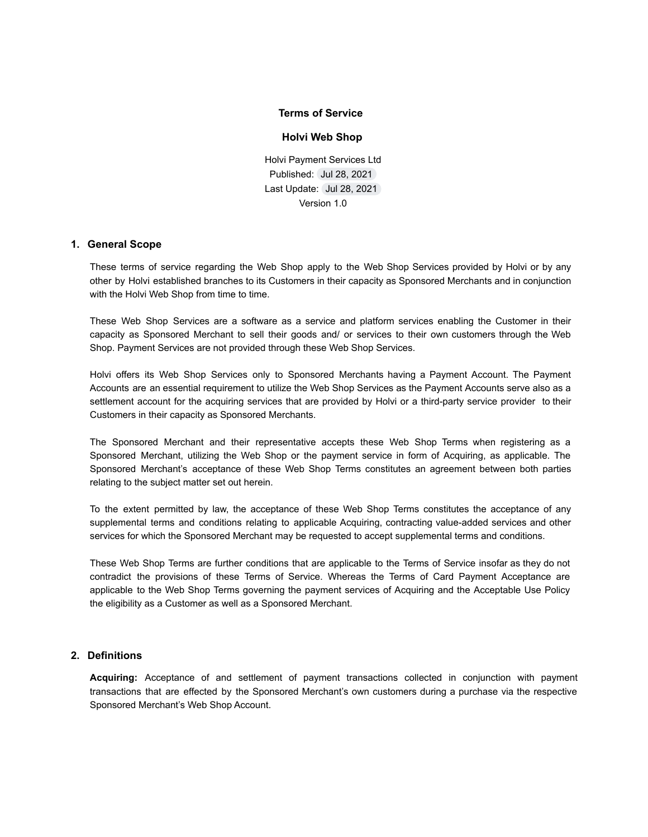### **Terms of Service**

#### **Holvi Web Shop**

Holvi Payment Services Ltd Published: Jul 28, 2021 Last Update: Jul 28, 2021 Version 1.0

#### **1. General Scope**

These terms of service regarding the Web Shop apply to the Web Shop Services provided by Holvi or by any other by Holvi established branches to its Customers in their capacity as Sponsored Merchants and in conjunction with the Holvi Web Shop from time to time.

These Web Shop Services are a software as a service and platform services enabling the Customer in their capacity as Sponsored Merchant to sell their goods and/ or services to their own customers through the Web Shop. Payment Services are not provided through these Web Shop Services.

Holvi offers its Web Shop Services only to Sponsored Merchants having a Payment Account. The Payment Accounts are an essential requirement to utilize the Web Shop Services as the Payment Accounts serve also as a settlement account for the acquiring services that are provided by Holvi or a third-party service provider to their Customers in their capacity as Sponsored Merchants.

The Sponsored Merchant and their representative accepts these Web Shop Terms when registering as a Sponsored Merchant, utilizing the Web Shop or the payment service in form of Acquiring, as applicable. The Sponsored Merchant's acceptance of these Web Shop Terms constitutes an agreement between both parties relating to the subject matter set out herein.

To the extent permitted by law, the acceptance of these Web Shop Terms constitutes the acceptance of any supplemental terms and conditions relating to applicable Acquiring, contracting value-added services and other services for which the Sponsored Merchant may be requested to accept supplemental terms and conditions.

These Web Shop Terms are further conditions that are applicable to the Terms of Service insofar as they do not contradict the provisions of these Terms of Service. Whereas the Terms of Card Payment Acceptance are applicable to the Web Shop Terms governing the payment services of Acquiring and the Acceptable Use Policy the eligibility as a Customer as well as a Sponsored Merchant.

#### **2. Definitions**

**Acquiring:** Acceptance of and settlement of payment transactions collected in conjunction with payment transactions that are effected by the Sponsored Merchant's own customers during a purchase via the respective Sponsored Merchant's Web Shop Account.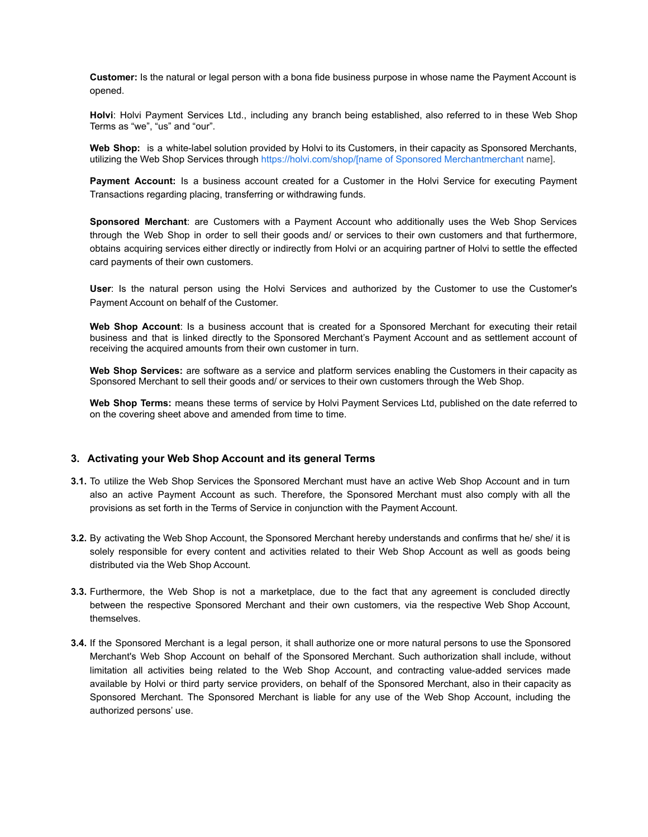**Customer:** Is the natural or legal person with a bona fide business purpose in whose name the Payment Account is opened.

**Holvi**: Holvi Payment Services Ltd., including any branch being established, also referred to in these Web Shop Terms as "we", "us" and "our".

**Web Shop:** is a white-label solution provided by Holvi to its Customers, in their capacity as Sponsored Merchants, utilizing the Web Shop Services through https://holvi.com/shop/[name [of Sponsored Merchantmerchant](https://holvi.com/shop/%5Bmerchant) name].

**Payment Account:** Is a business account created for a Customer in the Holvi Service for executing Payment Transactions regarding placing, transferring or withdrawing funds.

**Sponsored Merchant**: are Customers with a Payment Account who additionally uses the Web Shop Services through the Web Shop in order to sell their goods and/ or services to their own customers and that furthermore, obtains acquiring services either directly or indirectly from Holvi or an acquiring partner of Holvi to settle the effected card payments of their own customers.

**User**: Is the natural person using the Holvi Services and authorized by the Customer to use the Customer's Payment Account on behalf of the Customer.

**Web Shop Account**: Is a business account that is created for a Sponsored Merchant for executing their retail business and that is linked directly to the Sponsored Merchant's Payment Account and as settlement account of receiving the acquired amounts from their own customer in turn.

**Web Shop Services:** are software as a service and platform services enabling the Customers in their capacity as Sponsored Merchant to sell their goods and/ or services to their own customers through the Web Shop.

**Web Shop Terms:** means these terms of service by Holvi Payment Services Ltd, published on the date referred to on the covering sheet above and amended from time to time.

#### **3. Activating your Web Shop Account and its general Terms**

- **3.1.** To utilize the Web Shop Services the Sponsored Merchant must have an active Web Shop Account and in turn also an active Payment Account as such. Therefore, the Sponsored Merchant must also comply with all the provisions as set forth in the Terms of Service in conjunction with the Payment Account.
- **3.2.** By activating the Web Shop Account, the Sponsored Merchant hereby understands and confirms that he/ she/ it is solely responsible for every content and activities related to their Web Shop Account as well as goods being distributed via the Web Shop Account.
- **3.3.** Furthermore, the Web Shop is not a marketplace, due to the fact that any agreement is concluded directly between the respective Sponsored Merchant and their own customers, via the respective Web Shop Account, themselves.
- **3.4.** If the Sponsored Merchant is a legal person, it shall authorize one or more natural persons to use the Sponsored Merchant's Web Shop Account on behalf of the Sponsored Merchant. Such authorization shall include, without limitation all activities being related to the Web Shop Account, and contracting value-added services made available by Holvi or third party service providers, on behalf of the Sponsored Merchant, also in their capacity as Sponsored Merchant. The Sponsored Merchant is liable for any use of the Web Shop Account, including the authorized persons' use.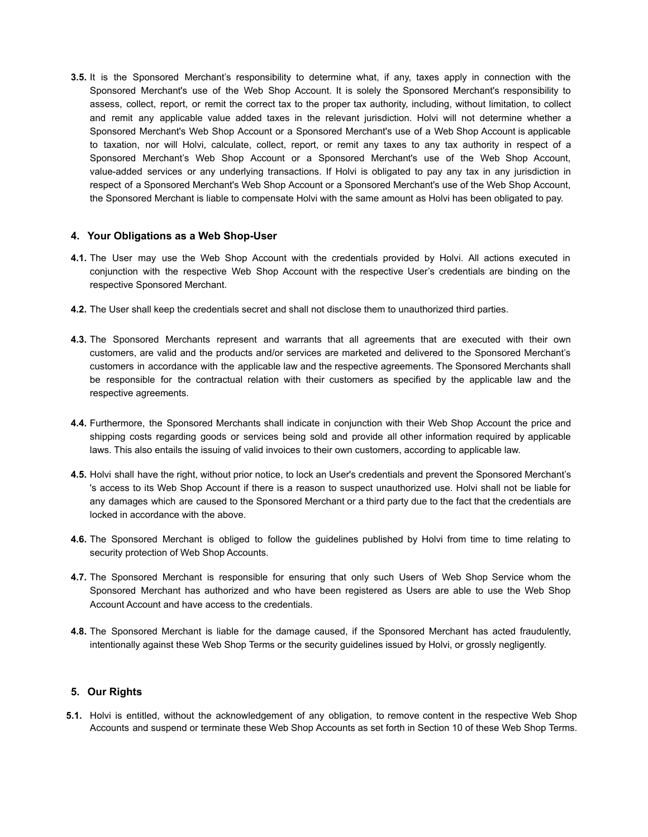**3.5.** It is the Sponsored Merchant's responsibility to determine what, if any, taxes apply in connection with the Sponsored Merchant's use of the Web Shop Account. It is solely the Sponsored Merchant's responsibility to assess, collect, report, or remit the correct tax to the proper tax authority, including, without limitation, to collect and remit any applicable value added taxes in the relevant jurisdiction. Holvi will not determine whether a Sponsored Merchant's Web Shop Account or a Sponsored Merchant's use of a Web Shop Account is applicable to taxation, nor will Holvi, calculate, collect, report, or remit any taxes to any tax authority in respect of a Sponsored Merchant's Web Shop Account or a Sponsored Merchant's use of the Web Shop Account, value-added services or any underlying transactions. If Holvi is obligated to pay any tax in any jurisdiction in respect of a Sponsored Merchant's Web Shop Account or a Sponsored Merchant's use of the Web Shop Account, the Sponsored Merchant is liable to compensate Holvi with the same amount as Holvi has been obligated to pay.

# **4. Your Obligations as a Web Shop-User**

- **4.1.** The User may use the Web Shop Account with the credentials provided by Holvi. All actions executed in conjunction with the respective Web Shop Account with the respective User's credentials are binding on the respective Sponsored Merchant.
- **4.2.** The User shall keep the credentials secret and shall not disclose them to unauthorized third parties.
- **4.3.** The Sponsored Merchants represent and warrants that all agreements that are executed with their own customers, are valid and the products and/or services are marketed and delivered to the Sponsored Merchant's customers in accordance with the applicable law and the respective agreements. The Sponsored Merchants shall be responsible for the contractual relation with their customers as specified by the applicable law and the respective agreements.
- **4.4.** Furthermore, the Sponsored Merchants shall indicate in conjunction with their Web Shop Account the price and shipping costs regarding goods or services being sold and provide all other information required by applicable laws. This also entails the issuing of valid invoices to their own customers, according to applicable law.
- **4.5.** Holvi shall have the right, without prior notice, to lock an User's credentials and prevent the Sponsored Merchant's 's access to its Web Shop Account if there is a reason to suspect unauthorized use. Holvi shall not be liable for any damages which are caused to the Sponsored Merchant or a third party due to the fact that the credentials are locked in accordance with the above.
- **4.6.** The Sponsored Merchant is obliged to follow the guidelines published by Holvi from time to time relating to security protection of Web Shop Accounts.
- **4.7.** The Sponsored Merchant is responsible for ensuring that only such Users of Web Shop Service whom the Sponsored Merchant has authorized and who have been registered as Users are able to use the Web Shop Account Account and have access to the credentials.
- **4.8.** The Sponsored Merchant is liable for the damage caused, if the Sponsored Merchant has acted fraudulently, intentionally against these Web Shop Terms or the security guidelines issued by Holvi, or grossly negligently.

# **5. Our Rights**

**5.1.** Holvi is entitled, without the acknowledgement of any obligation, to remove content in the respective Web Shop Accounts and suspend or terminate these Web Shop Accounts as set forth in Section 10 of these Web Shop Terms.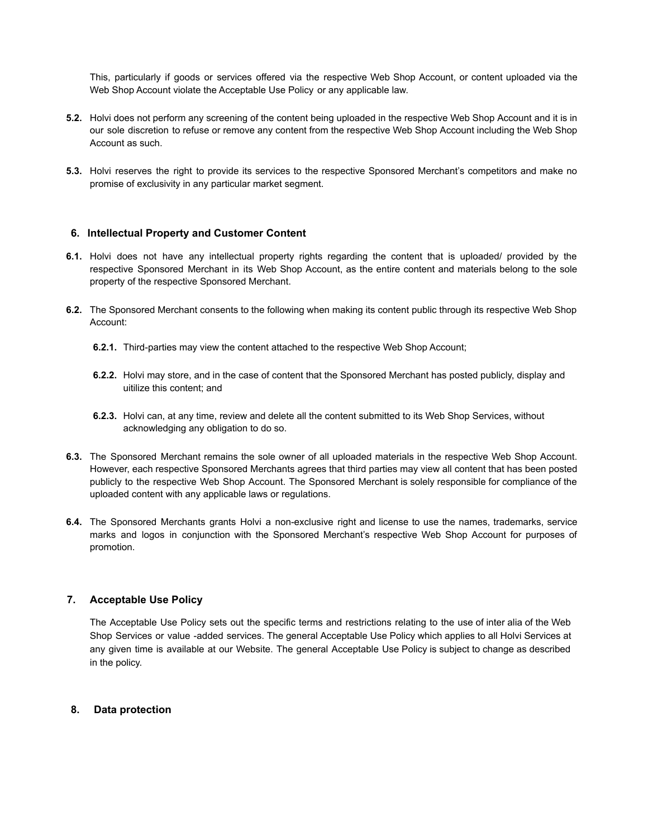This, particularly if goods or services offered via the respective Web Shop Account, or content uploaded via the Web Shop Account violate the Acceptable Use Policy or any applicable law.

- **5.2.** Holvi does not perform any screening of the content being uploaded in the respective Web Shop Account and it is in our sole discretion to refuse or remove any content from the respective Web Shop Account including the Web Shop Account as such.
- **5.3.** Holvi reserves the right to provide its services to the respective Sponsored Merchant's competitors and make no promise of exclusivity in any particular market segment.

# **6. Intellectual Property and Customer Content**

- **6.1.** Holvi does not have any intellectual property rights regarding the content that is uploaded/ provided by the respective Sponsored Merchant in its Web Shop Account, as the entire content and materials belong to the sole property of the respective Sponsored Merchant.
- **6.2.** The Sponsored Merchant consents to the following when making its content public through its respective Web Shop Account:
	- **6.2.1.** Third-parties may view the content attached to the respective Web Shop Account;
	- **6.2.2.** Holvi may store, and in the case of content that the Sponsored Merchant has posted publicly, display and uitilize this content; and
	- **6.2.3.** Holvi can, at any time, review and delete all the content submitted to its Web Shop Services, without acknowledging any obligation to do so.
- **6.3.** The Sponsored Merchant remains the sole owner of all uploaded materials in the respective Web Shop Account. However, each respective Sponsored Merchants agrees that third parties may view all content that has been posted publicly to the respective Web Shop Account. The Sponsored Merchant is solely responsible for compliance of the uploaded content with any applicable laws or regulations.
- **6.4.** The Sponsored Merchants grants Holvi a non-exclusive right and license to use the names, trademarks, service marks and logos in conjunction with the Sponsored Merchant's respective Web Shop Account for purposes of promotion.

### **7. Acceptable Use Policy**

The Acceptable Use Policy sets out the specific terms and restrictions relating to the use of inter alia of the Web Shop Services or value -added services. The general Acceptable Use Policy which applies to all Holvi Services at any given time is available at our Website. The general Acceptable Use Policy is subject to change as described in the policy.

#### **8. Data protection**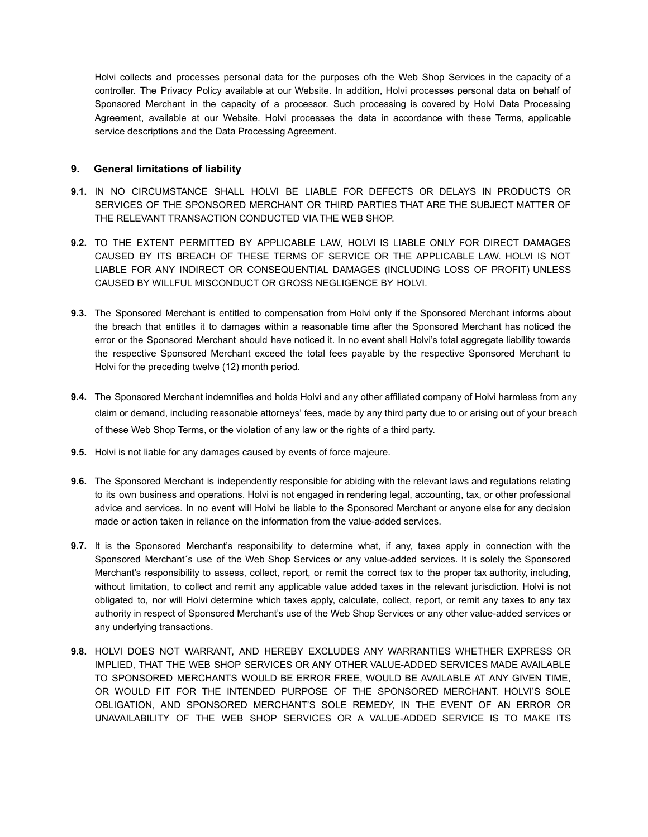Holvi collects and processes personal data for the purposes ofh the Web Shop Services in the capacity of a controller. The Privacy Policy available at our Website. In addition, Holvi processes personal data on behalf of Sponsored Merchant in the capacity of a processor. Such processing is covered by Holvi Data Processing Agreement, available at our Website. Holvi processes the data in accordance with these Terms, applicable service descriptions and the Data Processing Agreement.

# **9. General limitations of liability**

- **9.1.** IN NO CIRCUMSTANCE SHALL HOLVI BE LIABLE FOR DEFECTS OR DELAYS IN PRODUCTS OR SERVICES OF THE SPONSORED MERCHANT OR THIRD PARTIES THAT ARE THE SUBJECT MATTER OF THE RELEVANT TRANSACTION CONDUCTED VIA THE WEB SHOP.
- **9.2.** TO THE EXTENT PERMITTED BY APPLICABLE LAW, HOLVI IS LIABLE ONLY FOR DIRECT DAMAGES CAUSED BY ITS BREACH OF THESE TERMS OF SERVICE OR THE APPLICABLE LAW. HOLVI IS NOT LIABLE FOR ANY INDIRECT OR CONSEQUENTIAL DAMAGES (INCLUDING LOSS OF PROFIT) UNLESS CAUSED BY WILLFUL MISCONDUCT OR GROSS NEGLIGENCE BY HOLVI.
- **9.3.** The Sponsored Merchant is entitled to compensation from Holvi only if the Sponsored Merchant informs about the breach that entitles it to damages within a reasonable time after the Sponsored Merchant has noticed the error or the Sponsored Merchant should have noticed it. In no event shall Holvi's total aggregate liability towards the respective Sponsored Merchant exceed the total fees payable by the respective Sponsored Merchant to Holvi for the preceding twelve (12) month period.
- **9.4.** The Sponsored Merchant indemnifies and holds Holvi and any other affiliated company of Holvi harmless from any claim or demand, including reasonable attorneys' fees, made by any third party due to or arising out of your breach of these Web Shop Terms, or the violation of any law or the rights of a third party.
- **9.5.** Holvi is not liable for any damages caused by events of force majeure.
- **9.6.** The Sponsored Merchant is independently responsible for abiding with the relevant laws and regulations relating to its own business and operations. Holvi is not engaged in rendering legal, accounting, tax, or other professional advice and services. In no event will Holvi be liable to the Sponsored Merchant or anyone else for any decision made or action taken in reliance on the information from the value-added services.
- **9.7.** It is the Sponsored Merchant's responsibility to determine what, if any, taxes apply in connection with the Sponsored Merchant´s use of the Web Shop Services or any value-added services. It is solely the Sponsored Merchant's responsibility to assess, collect, report, or remit the correct tax to the proper tax authority, including, without limitation, to collect and remit any applicable value added taxes in the relevant jurisdiction. Holvi is not obligated to, nor will Holvi determine which taxes apply, calculate, collect, report, or remit any taxes to any tax authority in respect of Sponsored Merchant's use of the Web Shop Services or any other value-added services or any underlying transactions.
- **9.8.** HOLVI DOES NOT WARRANT, AND HEREBY EXCLUDES ANY WARRANTIES WHETHER EXPRESS OR IMPLIED, THAT THE WEB SHOP SERVICES OR ANY OTHER VALUE-ADDED SERVICES MADE AVAILABLE TO SPONSORED MERCHANTS WOULD BE ERROR FREE, WOULD BE AVAILABLE AT ANY GIVEN TIME, OR WOULD FIT FOR THE INTENDED PURPOSE OF THE SPONSORED MERCHANT. HOLVI'S SOLE OBLIGATION, AND SPONSORED MERCHANT'S SOLE REMEDY, IN THE EVENT OF AN ERROR OR UNAVAILABILITY OF THE WEB SHOP SERVICES OR A VALUE-ADDED SERVICE IS TO MAKE ITS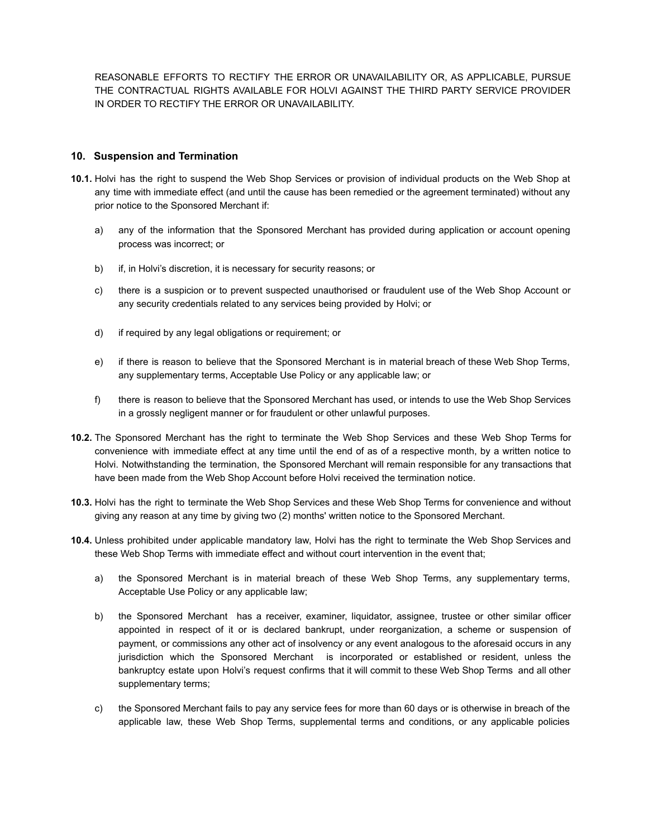REASONABLE EFFORTS TO RECTIFY THE ERROR OR UNAVAILABILITY OR, AS APPLICABLE, PURSUE THE CONTRACTUAL RIGHTS AVAILABLE FOR HOLVI AGAINST THE THIRD PARTY SERVICE PROVIDER IN ORDER TO RECTIFY THE ERROR OR UNAVAILABILITY.

# **10. Suspension and Termination**

- **10.1.** Holvi has the right to suspend the Web Shop Services or provision of individual products on the Web Shop at any time with immediate effect (and until the cause has been remedied or the agreement terminated) without any prior notice to the Sponsored Merchant if:
	- a) any of the information that the Sponsored Merchant has provided during application or account opening process was incorrect; or
	- b) if, in Holvi's discretion, it is necessary for security reasons; or
	- c) there is a suspicion or to prevent suspected unauthorised or fraudulent use of the Web Shop Account or any security credentials related to any services being provided by Holvi; or
	- d) if required by any legal obligations or requirement; or
	- e) if there is reason to believe that the Sponsored Merchant is in material breach of these Web Shop Terms, any supplementary terms, Acceptable Use Policy or any applicable law; or
	- f) there is reason to believe that the Sponsored Merchant has used, or intends to use the Web Shop Services in a grossly negligent manner or for fraudulent or other unlawful purposes.
- **10.2.** The Sponsored Merchant has the right to terminate the Web Shop Services and these Web Shop Terms for convenience with immediate effect at any time until the end of as of a respective month, by a written notice to Holvi. Notwithstanding the termination, the Sponsored Merchant will remain responsible for any transactions that have been made from the Web Shop Account before Holvi received the termination notice.
- **10.3.** Holvi has the right to terminate the Web Shop Services and these Web Shop Terms for convenience and without giving any reason at any time by giving two (2) months' written notice to the Sponsored Merchant.
- **10.4.** Unless prohibited under applicable mandatory law, Holvi has the right to terminate the Web Shop Services and these Web Shop Terms with immediate effect and without court intervention in the event that;
	- a) the Sponsored Merchant is in material breach of these Web Shop Terms, any supplementary terms, Acceptable Use Policy or any applicable law;
	- b) the Sponsored Merchant has a receiver, examiner, liquidator, assignee, trustee or other similar officer appointed in respect of it or is declared bankrupt, under reorganization, a scheme or suspension of payment, or commissions any other act of insolvency or any event analogous to the aforesaid occurs in any jurisdiction which the Sponsored Merchant is incorporated or established or resident, unless the bankruptcy estate upon Holvi's request confirms that it will commit to these Web Shop Terms and all other supplementary terms;
	- c) the Sponsored Merchant fails to pay any service fees for more than 60 days or is otherwise in breach of the applicable law, these Web Shop Terms, supplemental terms and conditions, or any applicable policies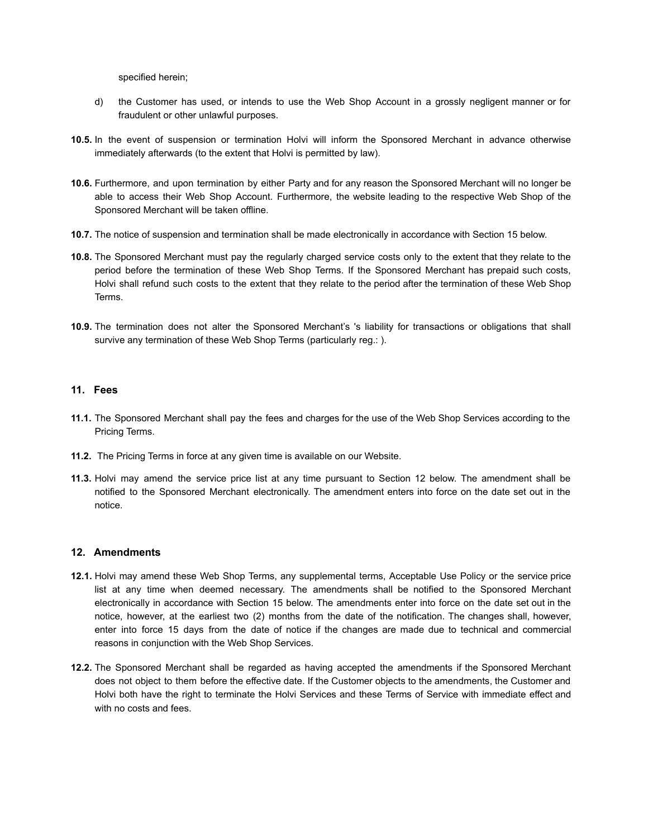specified herein;

- d) the Customer has used, or intends to use the Web Shop Account in a grossly negligent manner or for fraudulent or other unlawful purposes.
- **10.5.** In the event of suspension or termination Holvi will inform the Sponsored Merchant in advance otherwise immediately afterwards (to the extent that Holvi is permitted by law).
- **10.6.** Furthermore, and upon termination by either Party and for any reason the Sponsored Merchant will no longer be able to access their Web Shop Account. Furthermore, the website leading to the respective Web Shop of the Sponsored Merchant will be taken offline.
- **10.7.** The notice of suspension and termination shall be made electronically in accordance with Section 15 below.
- **10.8.** The Sponsored Merchant must pay the regularly charged service costs only to the extent that they relate to the period before the termination of these Web Shop Terms. If the Sponsored Merchant has prepaid such costs, Holvi shall refund such costs to the extent that they relate to the period after the termination of these Web Shop Terms.
- **10.9.** The termination does not alter the Sponsored Merchant's 's liability for transactions or obligations that shall survive any termination of these Web Shop Terms (particularly reg.: ).

# **11. Fees**

- **11.1.** The Sponsored Merchant shall pay the fees and charges for the use of the Web Shop Services according to the Pricing Terms.
- **11.2.** The Pricing Terms in force at any given time is available on our Website.
- **11.3.** Holvi may amend the service price list at any time pursuant to Section 12 below. The amendment shall be notified to the Sponsored Merchant electronically. The amendment enters into force on the date set out in the notice.

### **12. Amendments**

- **12.1.** Holvi may amend these Web Shop Terms, any supplemental terms, Acceptable Use Policy or the service price list at any time when deemed necessary. The amendments shall be notified to the Sponsored Merchant electronically in accordance with Section 15 below. The amendments enter into force on the date set out in the notice, however, at the earliest two (2) months from the date of the notification. The changes shall, however, enter into force 15 days from the date of notice if the changes are made due to technical and commercial reasons in conjunction with the Web Shop Services.
- **12.2.** The Sponsored Merchant shall be regarded as having accepted the amendments if the Sponsored Merchant does not object to them before the effective date. If the Customer objects to the amendments, the Customer and Holvi both have the right to terminate the Holvi Services and these Terms of Service with immediate effect and with no costs and fees.